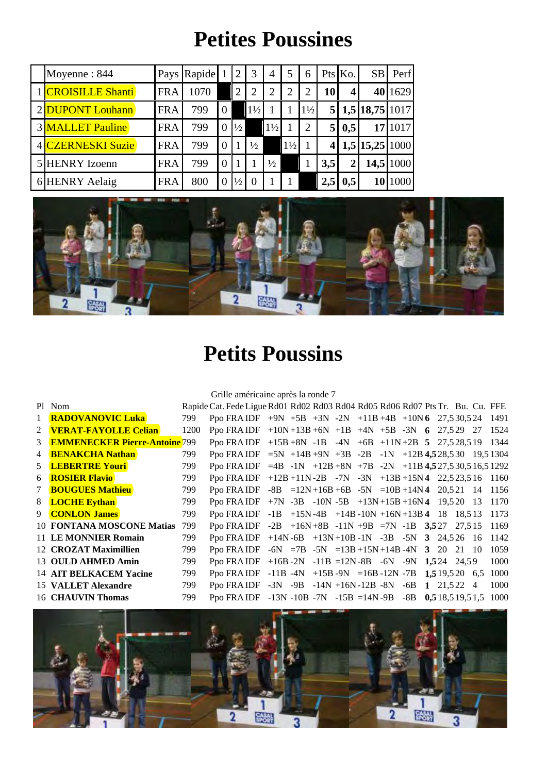## **Petites Poussines**

| Moyenne: 844            |            | Pays Rapide 1 |                |                | 3              | $\overline{4}$ | 5              | 6              |                | Pts Ko.        | SB               | Perf      |
|-------------------------|------------|---------------|----------------|----------------|----------------|----------------|----------------|----------------|----------------|----------------|------------------|-----------|
| 1 CROISILLE Shanti      | <b>FRA</b> | 1070          |                | $\overline{2}$ |                |                | 2              | 2              | 10 I           | $\overline{4}$ |                  | 40 1629   |
| 2 DUPONT Louhann        | <b>FRA</b> | 799           | $\overline{0}$ |                | $1\frac{1}{2}$ |                |                | $1\frac{1}{2}$ | 5 <sup>1</sup> |                | 1,5 18,75 1017   |           |
| <b>3 MALLET Pauline</b> | <b>FRA</b> | 799           |                | $\frac{1}{2}$  |                | $1\frac{1}{2}$ |                | $\overline{2}$ |                | 0,5            |                  | 17 1017   |
| 4 CZERNESKI Suzie       | <b>FRA</b> | 799           |                |                | $\frac{1}{2}$  |                | $1\frac{1}{2}$ |                |                |                | $1,5$ 15,25 1000 |           |
| 5 HENRY Izoenn          | <b>FRA</b> | 799           |                |                |                | $\frac{1}{2}$  |                |                | 3,5            |                |                  | 14,5 1000 |
| 6 HENRY Aelaig          | <b>FRA</b> | 800           |                | $\frac{1}{2}$  |                |                |                |                | 2,5            | 0,5            |                  | 10 1000   |



## **Petits Poussins**

Grille américaine après la ronde 7

|                | Pl Nom                               |      | Rapide Cat. Fede Ligue Rd01 Rd02 Rd03 Rd04 Rd05 Rd06 Rd07 Pts Tr. Bu. Cu. FFE |  |  |  |  |  |      |
|----------------|--------------------------------------|------|-------------------------------------------------------------------------------|--|--|--|--|--|------|
|                | <b>RADOVANOVIC Luka</b>              | 799  | Ppo FRAIDF $+9N +5B +3N -2N +11B +4B +10N6$ 27,530,524 1491                   |  |  |  |  |  |      |
| $\mathcal{L}$  | <b>VERAT-FAYOLLE Celian</b>          | 1200 | Ppo FRA IDF $+10N+13B+6N$ $+1B$ $+4N$ $+5B$ $-3N$ 6 27,529 27 1524            |  |  |  |  |  |      |
| 3              | <b>EMMENECKER Pierre-Antoine 799</b> |      | Ppo FRA IDF $+15B+8N$ -1B -4N $+6B$ $+11N+2B$ 5 27,528,519 1344               |  |  |  |  |  |      |
| $\overline{4}$ | <b>BENAKCHA Nathan</b>               | 799  | Ppo FRAIDF = 5N +14B +9N +3B -2B -1N +12B 4,528,530 19,51304                  |  |  |  |  |  |      |
|                | 5 LEBERTRE Youri                     | 799  | Ppo FRA IDF $=4B -1N +12B +8N +7B -2N +11B +527,530,516,51292$                |  |  |  |  |  |      |
| 6              | <b>ROSIER Flavio</b>                 | 799  | Ppo FRAIDF +12B +11N-2B -7N -3N +13B +15N4 22,523,516 1160                    |  |  |  |  |  |      |
| 7              | <b>BOUGUES Mathieu</b>               | 799  | Ppo FRA IDF $-8B = 12N + 16B + 6B - 5N = 10B + 14N4$ 20,521 14 1156           |  |  |  |  |  |      |
|                | 8 <b>LOCHE Eythan</b>                | 799  | Ppo FRAIDF +7N -3B -10N -5B +13N +15B +16N 4 19,520 13 1170                   |  |  |  |  |  |      |
|                | 9 <b>CONLON James</b>                | 799  | Ppo FRA IDF $-1B +15N-4B +14B-10N+16N+13B4$ 18 18,513                         |  |  |  |  |  | 1173 |
|                | 10 FONTANA MOSCONE Matias            | 799  | Ppo FRAIDF $-2B +16N +8B -11N +9B = 7N -1B$ 3,527 27,515                      |  |  |  |  |  | 1169 |
|                | 11 LE MONNIER Romain                 | 799  | Ppo FRA IDF $+14N-6B$ $+13N+10B-1N$ $-3B$ $-5N$ 3 24,526 16 1142              |  |  |  |  |  |      |
|                | 12 CROZAT Maximillien                | 799  | Ppo FRA IDF $-6N = 7B -5N = 13B +15N +14B -4N$ 3 20 21 10                     |  |  |  |  |  | 1059 |
|                | 13 OULD AHMED Amin                   | 799  | Ppo FRAIDF $+16B-2N -11B = 12N-8B -6N -9N$ 1,524 24,59                        |  |  |  |  |  | 1000 |
|                | 14 AIT BELKACEM Yacine               | 799  | Ppo FRA IDF -11B -4N +15B -9N =16B -12N -7B $1,519,520$ 6,5                   |  |  |  |  |  | 1000 |
|                | 15 VALLET Alexandre                  | 799  | Ppo FRAIDF -3N -9B -14N +16N-12B -8N -6B 1 21,522 4                           |  |  |  |  |  | 1000 |
|                | 16 CHAUVIN Thomas                    | 799  | Ppo FRAIDF -13N -10B -7N -15B =14N -9B -8B 0,518,519,51,5 1000                |  |  |  |  |  |      |

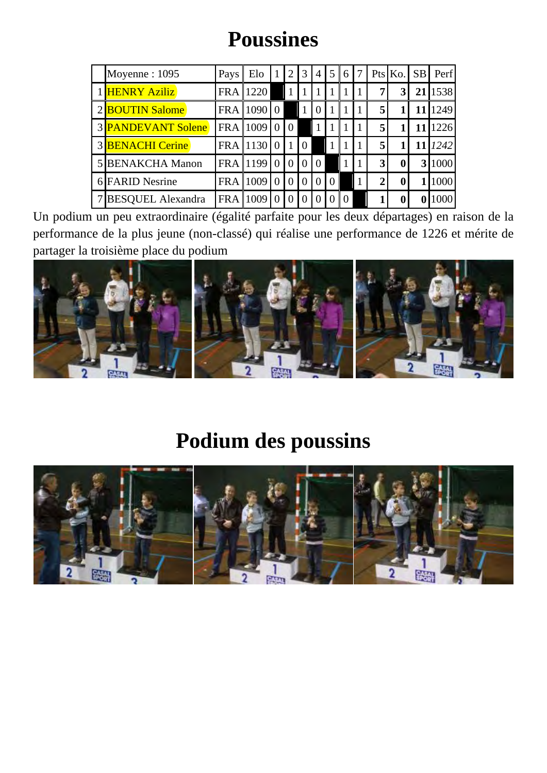## **Poussines**

| Moyenne: 1095            | Pays       | Elo        |          |          | 3        | $\overline{4}$ | 5        | 6              |             | Pts Ko.        | <b>SB</b> | Perf    |
|--------------------------|------------|------------|----------|----------|----------|----------------|----------|----------------|-------------|----------------|-----------|---------|
| 1 HENRY Aziliz           | <b>FRA</b> | 1220       |          |          |          |                |          |                | 7           | 3 <sup>l</sup> | 21        | 1538    |
| 2 <b>BOUTIN</b> Salome   | <b>FRA</b> | 109010     |          |          |          | $\overline{0}$ |          |                | 5           |                | 11        | 1249    |
| 3 PANDEVANT Solene       | <b>FRA</b> | 1009       | $\Omega$ | $\Omega$ |          |                |          |                | 5           |                |           | 1226    |
| <b>3 BENACHI Cerine</b>  |            | FRA 1130 0 |          |          | $\theta$ |                |          |                | 5           |                |           | 11 1242 |
| <b>5 BENAKCHA Manon</b>  | <b>FRA</b> | 1199       | $\theta$ | $\theta$ | $\Omega$ | $\theta$       |          |                | 3           | $\bf{0}$       |           | 3 1000  |
| 6 FARID Nesrine          | <b>FRA</b> | 1009       |          | $\theta$ | $\theta$ | $\Omega$       | $\Omega$ |                | $\mathbf 2$ | 0              |           | 1000    |
| <b>BESQUEL Alexandra</b> | <b>FRA</b> | 1009       |          |          |          |                |          | $\overline{0}$ |             |                |           |         |

Un podium un peu extraordinaire (égalité parfaite pour les deux départages) en raison de la performance de la plus jeune (non-classé) qui réalise une performance de 1226 et mérite de partager la troisième place du podium



#### **Podium des poussins**

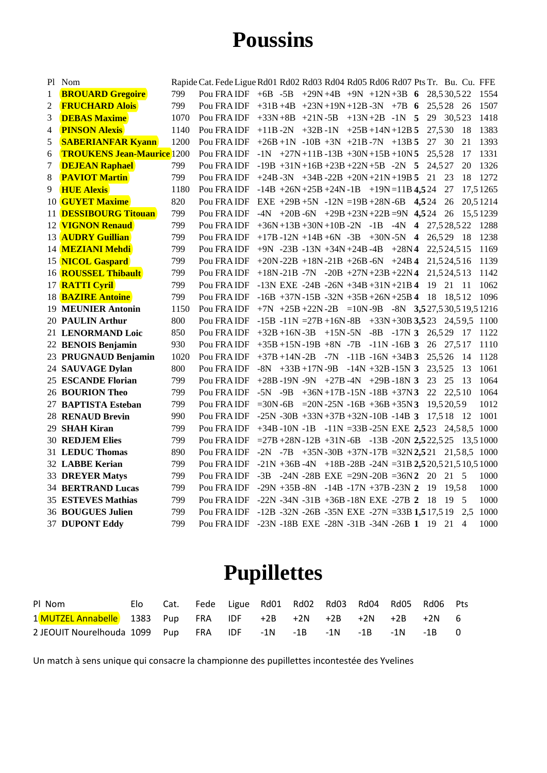#### **Poussins**

|                | Pl Nom                            |      | Rapide Cat. Fede Ligue Rd01 Rd02 Rd03 Rd04 Rd05 Rd06 Rd07 Pts Tr. Bu. Cu. FFE |  |  |  |  |        |              |                |          |
|----------------|-----------------------------------|------|-------------------------------------------------------------------------------|--|--|--|--|--------|--------------|----------------|----------|
| 1              | <b>BROUARD Gregoire</b>           | 799  | Pou FRA IDF +6B -5B +29N +4B +9N +12N +3B 6 28,530,522 1554                   |  |  |  |  |        |              |                |          |
| $\overline{2}$ | <b>FRUCHARD Alois</b>             | 799  | Pou FRA IDF $+31B +4B +23N +19N +12B -3N +7B$ 6                               |  |  |  |  |        | 25,528       | -26            | 1507     |
| 3              | <b>DEBAS Maxime</b>               | 1070 | Pou FRA IDF $+33N+8B$ $+21N-5B$ $+13N+2B$ $-1N$ 5                             |  |  |  |  |        | 29 30,523    |                | 1418     |
| 4              | <b>PINSON Alexis</b>              | 1140 | Pou FRA IDF +11B -2N +32B -1N +25B +14N +12B $5$                              |  |  |  |  | 27,530 |              | -18            | 1383     |
| 5              | <b>SABERIANFAR Kyann</b>          | 1200 | Pou FRA IDF $+26B +1N -10B +3N +21B -7N +13B$ 5                               |  |  |  |  | 27 30  |              | 21             | 1393     |
| 6              | <b>TROUKENS Jean-Maurice</b> 1200 |      | Pou FRA IDF $-1N$ $+27N+11B-13B+30N+15B+10N5$                                 |  |  |  |  | 25.528 |              | 17             | 1331     |
| 7              | <b>DEJEAN Raphael</b>             | 799  | Pou FRA IDF -19B +31N +16B +23B +22N +5B -2N 5 24,527                         |  |  |  |  |        |              | 20             | 1326     |
| 8              | <b>PAVIOT Martin</b>              | 799  | Pou FRA IDF +24B -3N +34B -22B +20N +21N +19B $5$                             |  |  |  |  | 21     | 23           | 18             | 1272     |
| 9              | <b>HUE Alexis</b>                 | 1180 | Pou FRA IDF $-14B +26N +25B +24N -1B +19N = 11B$ 4,524                        |  |  |  |  |        | 27           |                | 17,51265 |
|                | 10 <b>GUYET Maxime</b>            | 820  | Pou FRA IDF EXE +29B +5N -12N =19B +28N -6B $4,524$                           |  |  |  |  |        | 26           |                | 20,51214 |
|                | 11 <b>DESSIBOURG Titouan</b>      | 799  | Pou FRA IDF $-4N$ $+20B -6N$ $+29B +23N +22B = 9N$ 4,524                      |  |  |  |  |        | 26           |                | 15,51239 |
|                | 12 <b>VIGNON Renaud</b>           | 799  | Pou FRA IDF $+36N+13B+30N+10B-2N$ -1B -4N 4 27,528,522                        |  |  |  |  |        |              |                | 1288     |
|                | 13 <b>AUDRY Guillian</b>          | 799  | Pou FRA IDF $+17B -12N +14B +6N -3B +30N-5N$ 4                                |  |  |  |  |        | 26,529       | -18            | 1238     |
|                | 14 MEZIANI Mehdi                  | 799  | Pou FRA IDF $+9N -23B -13N +34N +24B -4B +28N4$                               |  |  |  |  |        | 22,524,515   |                | 1169     |
|                | 15 <b>NICOL Gaspard</b>           | 799  | Pou FRA IDF $+20N - 22B + 18N - 21B + 26B - 6N + 24B$                         |  |  |  |  |        | 21,524,516   |                | 1139     |
|                | 16 <b>ROUSSEL Thibault</b>        | 799  | Pou FRA IDF $+18N - 21B - 7N - 20B + 27N + 23B + 22N$ 4                       |  |  |  |  |        | 21.5 24.5 13 |                | 1142     |
|                | 17 RATTI Cyril                    | 799  | Pou FRA IDF -13N EXE -24B -26N +34B +31N +21B 4                               |  |  |  |  | 19 21  |              | - 11           | 1062     |
|                | <b>18 BAZIRE Antoine</b>          | 799  | Pou FRA IDF $-16B +37N -15B -32N +35B +26N +25B$ 4                            |  |  |  |  | - 18   | 18.512       |                | 1096     |
|                | 19 MEUNIER Antonin                | 1150 | Pou FRA IDF $+7N$ $+25B +22N -2B$ = 10N-9B $-8N$ 3,527,530,519,51216          |  |  |  |  |        |              |                |          |
|                | 20 PAULIN Arthur                  | 800  | Pou FRA IDF -15B -11N = $27B + 16N - 8B$ +33N +30B 3,523 24,59,5 1100         |  |  |  |  |        |              |                |          |
|                | 21 LENORMAND Loic                 | 850  | Pou FRA IDF $+32B +16N -3B +15N -5N -8B -17N$ 3 26,529 17                     |  |  |  |  |        |              |                | 1122     |
|                | 22 BENOIS Benjamin                | 930  | Pou FRA IDF $+35B +15N -19B +8N -7B -11N -16B$ 3                              |  |  |  |  |        | 26 27.517    |                | 1110     |
|                | 23 PRUGNAUD Benjamin              | 1020 | Pou FRA IDF $+37B +14N -2B -7N -11B -16N +34B$ 3                              |  |  |  |  | 25,526 |              | -14            | 1128     |
|                | 24 SAUVAGE Dylan                  | 800  | Pou FRA IDF $-8N +33B +17N -9B -14N +32B -15N$ 3                              |  |  |  |  | 23,525 |              | 13             | 1061     |
|                | 25 ESCANDE Florian                | 799  | Pou FRA IDF $+28B - 19N - 9N + 27B - 4N + 29B - 18N$ 3                        |  |  |  |  | 23     | -25          | -13            | 1064     |
|                | 26 BOURION Theo                   | 799  | Pou FRA IDF $-5N -9B +36N +17B -15N -18B +37N3$                               |  |  |  |  |        | 22 22,510    |                | 1064     |
|                | 27 BAPTISTA Esteban               | 799  | Pou FRA IDF = 30N - 6B = 20N - 25N - 16B + 36B + 35N 3                        |  |  |  |  |        | 19,520,59    |                | 1012     |
|                | 28 RENAUD Brevin                  | 990  | Pou FRA IDF -25N -30B +33N +37B +32N -10B -14B 3                              |  |  |  |  |        | 17.518       | -12            | 1001     |
|                | 29 SHAH Kiran                     | 799  | Pou FRA IDF +34B -10N -1B -11N =33B -25N EXE 2,523 24,58,5 1000               |  |  |  |  |        |              |                |          |
|                | <b>30 REDJEM Elies</b>            | 799  | Pou FRA IDF = $27B + 28N - 12B + 31N - 6B - 13B - 20N$ 2,5 22,5 25 13,5 1000  |  |  |  |  |        |              |                |          |
|                | 31 LEDUC Thomas                   | 890  | Pou FRA IDF -2N -7B +35N -30B +37N -17B =32N 2,521 21,58,5 1000               |  |  |  |  |        |              |                |          |
|                | 32 LABBE Kerian                   | 799  | Pou FRA IDF $-21N + 36B - 4N + 18B - 28B - 24N = 31B$ 2,5 20,5 21,5 10,5 1000 |  |  |  |  |        |              |                |          |
|                | <b>33 DREYER Matys</b>            | 799  | Pou FRA IDF -3B -24N -28B EXE =29N -20B =36N 2 20                             |  |  |  |  |        | 21 5         |                | 1000     |
|                | <b>34 BERTRAND Lucas</b>          | 799  | Pou FRA IDF -29N +35B -8N -14B -17N +37B -23N 2                               |  |  |  |  | -19    | 19.58        |                | 1000     |
|                | <b>35 ESTEVES Mathias</b>         | 799  | Pou FRA IDF $-22N -34N -31B +36B -18N$ EXE $-27B$ 2                           |  |  |  |  | -18    | -19          | -5             | 1000     |
|                | 36 BOUGUES Julien                 | 799  | Pou FRA IDF -12B -32N -26B -35N EXE -27N =33B 1,517,519                       |  |  |  |  |        |              | 2.5            | 1000     |
|                | <b>37 DUPONT Eddy</b>             | 799  | Pou FRA IDF -23N -18B EXE -28N -31B -34N -26B 1 19 21                         |  |  |  |  |        |              | $\overline{4}$ | 1000     |

## **Pupillettes**

| PI Nom                                                          |  | Elo Cat. Fede Ligue Rd01 Rd02 Rd03 Rd04 Rd05 Rd06 Pts |  |  |  |  |
|-----------------------------------------------------------------|--|-------------------------------------------------------|--|--|--|--|
| 1MUTZEL Annabelle 1383 Pup FRA IDF +2B +2N +2B +2N +2B +2N 6    |  |                                                       |  |  |  |  |
| 2 JEOUIT Nourelhouda 1099 Pup FRA IDF -1N -1B -1N -1B -1N -1B 0 |  |                                                       |  |  |  |  |

Un match à sens unique qui consacre la championne des pupillettes incontestée des Yvelines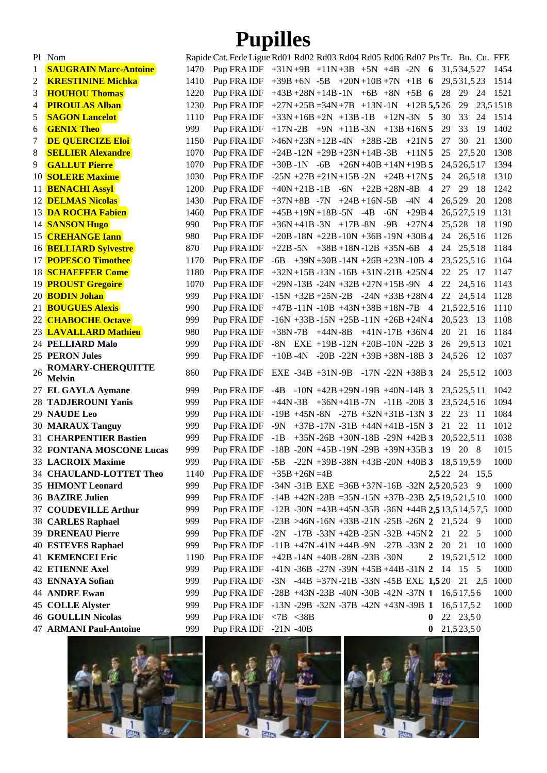## **Pupilles**

|    | Pl Nom                                    |      | Rapide Cat. Fede Ligue Rd01 Rd02 Rd03 Rd04 Rd05 Rd06 Rd07 Pts Tr. Bu. Cu. FFE |                                                         |  |  |                                 |          |        |             |               |          |
|----|-------------------------------------------|------|-------------------------------------------------------------------------------|---------------------------------------------------------|--|--|---------------------------------|----------|--------|-------------|---------------|----------|
| 1  | <b>SAUGRAIN Marc-Antoine</b>              | 1470 | Pup FRA IDF $+31N+9B$ $+11N+3B$ $+5N$ $+4B$ $-2N$ 6 31,534,527                |                                                         |  |  |                                 |          |        |             |               | 1454     |
| 2  | <b>KRESTININE Michka</b>                  | 1410 | Pup FRA IDF $+39B +6N -5B +20N +10B +7N +1B$ 6 29,531,523                     |                                                         |  |  |                                 |          |        |             |               | 1514     |
| 3  | <b>HOUHOU Thomas</b>                      | 1220 | Pup FRA IDF $+43B +28N +14B -1N +6B +8N +5B$ 6 28 29                          |                                                         |  |  |                                 |          |        |             | 24            | 1521     |
| 4  | <b>PIROULAS Alban</b>                     | 1230 | Pup FRA IDF $+27N+25B=34N+7B$ $+13N-1N$ $+12B=5,526$                          |                                                         |  |  |                                 |          |        | 29          |               | 23,51518 |
| 5  | <b>SAGON Lancelot</b>                     | 1110 | Pup FRA IDF $+33N+16B+2N$ $+13B-1B$ $+12N-3N$ 5                               |                                                         |  |  |                                 |          | - 30   | 33          | 24            | 1514     |
| 6  | <b>GENIX Theo</b>                         | 999  | Pup FRA IDF                                                                   | $+17N-2B$ $+9N$ $+11B-3N$ $+13B+16N5$                   |  |  |                                 |          | 29     | 33          | 19            | 1402     |
| 7  | <b>DE QUERCIZE Eloi</b>                   | 1150 | Pup FRA IDF                                                                   | $>46N+23N+12B-4N$ +28B-2B                               |  |  | $+21N5$                         |          | 27     | 30          | 21            | 1300     |
| 8  | <b>SELLIER Alexandre</b>                  | 1070 | Pup FRA IDF                                                                   | $+24B - 12N + 29B + 23N + 14B - 3B$                     |  |  | $+11N5$                         |          | 25     | 27,520      |               | 1308     |
| 9  | <b>GALLUT Pierre</b>                      | 1070 | Pup FRA IDF                                                                   | $+30B -1N -6B +26N +40B +14N +19B$ 5                    |  |  |                                 |          |        | 24,526,517  |               | 1394     |
|    | 10 <b>SOLERE Maxime</b>                   | 1030 | Pup FRA IDF $-25N + 27B + 21N + 15B - 2N + 24B + 17N$                         |                                                         |  |  |                                 |          | 24     | 26,518      |               | 1310     |
|    | 11 <b>BENACHI Assyl</b>                   | 1200 | Pup FRA IDF $+40N+21B-1B$ $-6N$ $+22B+28N-8B$ 4                               |                                                         |  |  |                                 |          | 27     | 29          | - 18          | 1242     |
|    | <b>12 DELMAS Nicolas</b>                  | 1430 | Pup FRA IDF                                                                   | $+37N+8B$ -7N $+24B+16N-5B$ -4N 4                       |  |  |                                 |          | 26,529 |             | -20           | 1208     |
|    | 13 <b>DA ROCHA Fabien</b>                 | 1460 | Pup FRA IDF                                                                   | $+45B + 19N + 18B - 5N - 4B - 6N$                       |  |  | $+29B$ 4                        |          |        | 26,527,519  |               | 1131     |
|    | 14 <b>SANSON Hugo</b>                     | 990  | Pup FRA IDF                                                                   | $+36N+41B-3N$ $+17B-8N$ $-9B$                           |  |  | $+27N4$                         |          |        | 25,528 18   |               | 1190     |
|    | 15 <b>CREHANGE Iann</b>                   | 980  | Pup FRA IDF                                                                   | $+20B -18N +22B -10N +36B -19N +30B$ 4                  |  |  |                                 |          |        | 24 26,516   |               | 1126     |
|    | 16 <b>BELLIARD Sylvestre</b>              | 870  | Pup FRA IDF $+22B -5N +38B +18N -12B +35N -6B$ 4                              |                                                         |  |  |                                 |          | 24     | 25,518      |               | 1184     |
|    | 17 <b>POPESCO Timothee</b>                | 1170 | Pup FRA IDF $-6B +39N +30B -14N +26B +23N -10B$ 4                             |                                                         |  |  |                                 |          |        | 23,525,516  |               | 1164     |
|    | <b>18 SCHAEFFER Come</b>                  | 1180 | Pup FRA IDF                                                                   | $+32N+15B-13N-16B +31N-21B +25N4$                       |  |  |                                 |          | 22     | 25          | - 17          | 1147     |
|    | 19 <b>PROUST Gregoire</b>                 | 1070 | Pup FRAIDF                                                                    | $+29N - 13B - 24N + 32B + 27N + 15B - 9N$ 4             |  |  |                                 |          | 22     | 24,516      |               | 1143     |
|    | 20 <b>BODIN Johan</b>                     | 999  | Pup FRA IDF                                                                   | $-15N +32B +25N -2B -24N +33B +28N$ 4                   |  |  |                                 |          | 22     | 24,5 14     |               | 1128     |
|    | 21 <b>BOUGUES Alexis</b>                  | 990  | Pup FRA IDF +47B -11N -10B +43N +38B +18N -7B 4                               |                                                         |  |  |                                 |          |        | 21,522,516  |               | 1110     |
|    | 22 <b>CHABOCHE Octave</b>                 | 999  | Pup FRA IDF -16N +33B -15N +25B -11N +26B +24N 4                              |                                                         |  |  |                                 |          |        | 20,523 13   |               | 1108     |
|    | 23 <b>LAVALLARD Mathieu</b>               | 980  | Pup FRA IDF $+38N - 7B +44N - 8B +41N - 17B +36N$ 4                           |                                                         |  |  |                                 |          | 20 21  |             | -16           | 1184     |
|    | 24 PELLIARD Malo                          | 999  | Pup FRA IDF                                                                   | $-8N$ EXE $+19B - 12N + 20B - 10N - 22B$ 3              |  |  |                                 |          |        | 26 29,513   |               | 1021     |
|    | 25 PERON Jules                            | 999  | Pup FRA IDF $+10B -4N -20B -22N +39B +38N -18B$ 3                             |                                                         |  |  |                                 |          |        | 24,526 12   |               | 1037     |
| 26 | <b>ROMARY-CHERQUITTE</b><br><b>Melvin</b> | 860  | Pup FRAIDF EXE -34B +31N-9B -17N -22N +38B 3 24 25,512                        |                                                         |  |  |                                 |          |        |             |               | 1003     |
|    | 27 EL GAYLA Aymane                        | 999  | Pup FRA IDF                                                                   | $-4B$ $-10N$ $+42B$ $+29N$ $-19B$ $+40N$ $-14B$ 3       |  |  |                                 |          |        | 23,525,511  |               | 1042     |
|    | <b>28 TADJEROUNI Yanis</b>                | 999  | Pup FRA IDF $+44N-3B +36N+41B-7N -11B -20B$ 3                                 |                                                         |  |  |                                 |          |        | 23,524,516  |               | 1094     |
|    | 29 NAUDE Leo                              | 999  | Pup FRA IDF $-19B +45N -8N -27B +32N +31B -13N$ 3                             |                                                         |  |  |                                 |          | 22 23  |             | - 11          | 1084     |
|    | <b>30 MARAUX Tanguy</b>                   | 999  | Pup FRA IDF -9N +37B -17N -31B +44N +41B -15N 3                               |                                                         |  |  |                                 |          | 21     | 22          | -11           | 1012     |
|    | <b>31 CHARPENTIER Bastien</b>             | 999  | Pup FRAIDF                                                                    | $-1B$                                                   |  |  | $+35N-26B +30N-18B -29N +42B$ 3 |          |        | 20,522,511  |               | 1038     |
|    | <b>32 FONTANA MOSCONE Lucas</b>           | 999  | Pup FRA IDF $-18B - 20N + 45B - 19N - 29B + 39N + 35B$ 3                      |                                                         |  |  |                                 |          | 19     | 20 8        |               | 1015     |
|    | 33 LACROIX Maxime                         | 999  | Pup FRA IDF -5B -22N +39B -38N +43B -20N +40B 3 18,519,59                     |                                                         |  |  |                                 |          |        |             |               | 1000     |
|    | 34 CHAULAND-LOTTET Theo                   | 1140 | Pup FRA IDF $+35B + 26N = 4B$                                                 |                                                         |  |  |                                 |          |        |             | 2,522 24 15,5 |          |
|    | <b>35 HIMONT Leonard</b>                  | 999  | Pup FRA IDF -34N -31B EXE =36B +37N -16B -32N 2,520,523 9                     |                                                         |  |  |                                 |          |        |             |               | 1000     |
|    | <b>36 BAZIRE Julien</b>                   | 999  | Pup FRA IDF $-14B +42N -28B = 35N -15N +37B -23B$ 2,5 19,5 21,5 10            |                                                         |  |  |                                 |          |        |             |               | 1000     |
|    | 37 COUDEVILLE Arthur                      | 999  | Pup FRA IDF                                                                   | $-12B -30N = 43B +45N -35B -36N +44B$ 2,5 13,5 14,5 7,5 |  |  |                                 |          |        |             |               | 1000     |
|    | <b>38 CARLES Raphael</b>                  | 999  | Pup FRA IDF                                                                   | $-23B > 46N - 16N + 33B - 21N - 25B - 26N$ 2 21,524 9   |  |  |                                 |          |        |             |               | 1000     |
|    | 39 DRENEAU Pierre                         | 999  | Pup FRA IDF                                                                   | $-2N$ $-17B$ $-33N$ $+42B$ $-25N$ $-32B$ $+45N2$        |  |  |                                 |          |        | 21 22       | 5             | 1000     |
|    | <b>40 ESTEVES Raphael</b>                 | 999  | Pup FRA IDF                                                                   | $-11B +47N -41N +44B -9N -27B -33N$ 2                   |  |  |                                 |          | 20     | 21          | -10           | 1000     |
|    | <b>41 KEMENCEI Eric</b>                   | 1190 | Pup FRAIDF                                                                    | $+42B -14N +40B -28N -23B -30N$                         |  |  |                                 | 2        |        | 19,521,512  |               | 1000     |
|    | <b>42 ETIENNE Axel</b>                    | 999  | Pup FRA IDF                                                                   | $-41N -36B -27N -39N +45B +44B -31N$ 2                  |  |  |                                 |          |        | 14 15 5     |               | 1000     |
|    | 43 ENNAYA Sofian                          | 999  | Pup FRA IDF                                                                   | $-3N$ $-44B = 37N - 21B - 33N - 45B$ EXE $1,520$ 21 2,5 |  |  |                                 |          |        |             |               | 1000     |
|    | <b>44 ANDRE Ewan</b>                      | 999  | Pup FRA IDF                                                                   | $-28B + 43N - 23B - 40N - 30B - 42N - 37N$ 1 16,517,56  |  |  |                                 |          |        |             |               | 1000     |
|    | <b>45 COLLE Alyster</b>                   | 999  | Pup FRA IDF                                                                   | $-13N - 29B - 32N - 37B - 42N + 43N - 39B$ 1            |  |  |                                 |          |        | 16,5 17,5 2 |               | 1000     |
|    | <b>46 GOULLIN Nicolas</b>                 | 999  | Pup FRA IDF $\langle 7B \rangle \langle 38B \rangle$                          |                                                         |  |  |                                 | $\bf{0}$ |        | 22 23,50    |               |          |
|    | <b>47 ARMANI Paul-Antoine</b>             | 999  | Pup FRAIDF                                                                    | $-21N - 40B$                                            |  |  |                                 | $\bf{0}$ |        | 21,523,50   |               |          |

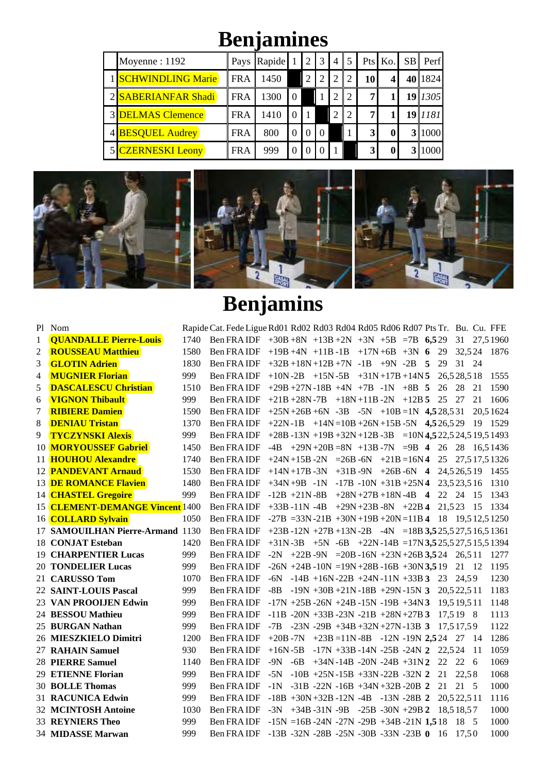# **Benjamines**

| Moyenne: 1192            |            | Pays Rapide |          | 2 | 3        | 4             | 5             |    | Pts Ko.  | SB | Perf      |
|--------------------------|------------|-------------|----------|---|----------|---------------|---------------|----|----------|----|-----------|
| 1 SCHWINDLING Marie      | <b>FRA</b> | 1450        |          |   |          | 2             | 2             | 10 |          |    | 40   1824 |
| 2 SABERIANFAR Shadi      | <b>FRA</b> | 1300        | $\Omega$ |   |          | $\mathcal{D}$ | $\mathcal{D}$ | 7  |          |    | 19   1305 |
| <b>3 DELMAS Clemence</b> | <b>FRA</b> | 1410        |          |   |          | $\mathcal{D}$ | $\mathcal{D}$ | 7  |          |    | 19 1181   |
| 4 BESQUEL Audrey         | <b>FRA</b> | 800         | $\Omega$ |   | $\Omega$ |               |               | 3  | $\bf{0}$ |    | 1000      |
| <b>CZERNESKI Leony</b>   | <b>FRA</b> | 999         | $\theta$ |   |          |               |               | 3  | $\bf{0}$ |    | 1000      |



|                | Pl Nom                                                                                  |      | Rapide Cat. Fede Ligue Rd01 Rd02 Rd03 Rd04 Rd05 Rd06 Rd07 Pts Tr. Bu. Cu. FFE |  |  |  |  |          |       |      |          |
|----------------|-----------------------------------------------------------------------------------------|------|-------------------------------------------------------------------------------|--|--|--|--|----------|-------|------|----------|
| 1              | <b>QUANDALLE Pierre-Louis</b>                                                           |      | 1740 Ben FRA IDF $+30B +8N +13B +2N +3N +5B = 7B$ 6,529 31 27,51960           |  |  |  |  |          |       |      |          |
| $\overline{2}$ | <b>ROUSSEAU Matthieu</b>                                                                | 1580 | Ben FRA IDF +19B +4N +11B -1B +17N +6B +3N 6 29 32,524 1876                   |  |  |  |  |          |       |      |          |
| 3              | <b>GLOTIN Adrien</b>                                                                    | 1830 | Ben FRA IDF $+32B+18N+12B+7N$ -1B $+9N$ -2B 5                                 |  |  |  |  | 29 31 24 |       |      |          |
| 4              | <b>MUGNIER Florian</b>                                                                  | 999  | Ben FRA IDF +10N -2B +15N -5B +31N +17B +14N 5 26,528,518                     |  |  |  |  |          |       |      | 1555     |
| 5              | <b>DASCALESCU Christian</b>                                                             | 1510 | Ben FRA IDF $+29B +27N -18B +4N +7B -1N +8B$ 5 26 28                          |  |  |  |  |          |       | 21   | 1590     |
| 6              | <b>VIGNON Thibault</b>                                                                  | 999  | Ben FRA IDF $+21B +28N -7B +18N +11B -2N +12B$ 5 25 27                        |  |  |  |  |          |       | 21   | 1606     |
| 7              | <b>RIBIERE Damien</b>                                                                   | 1590 | Ben FRA IDF $+25N+26B+6N-3B -5N +10B=1N$ 4,528,531                            |  |  |  |  |          |       |      | 20.51624 |
| 8              | <b>DENIAU Tristan</b>                                                                   | 1370 | Ben FRA IDF +22N -1B +14N = 10B +26N +15B -5N 4,526,529 19 1529               |  |  |  |  |          |       |      |          |
| 9              | <b>TYCZYNSKI Alexis</b>                                                                 | 999  | Ben FRA IDF +28B -13N +19B +32N +12B -3B = 10N 4,522,524,519,51493            |  |  |  |  |          |       |      |          |
|                | 10 MORYOUSSEF Gabriel                                                                   | 1450 | Ben FRA IDF $-4B +29N +20B = 8N +13B -7N = 9B + 26 + 26 + 28 + 16,51436$      |  |  |  |  |          |       |      |          |
|                | 11 <b>HOUHOU Alexandre</b>                                                              | 1740 | Ben FRA IDF +24N +15B -2N = 26B -6N +21B = 16N 4 25 27,517,51326              |  |  |  |  |          |       |      |          |
|                | 12 <b>PANDEVANT Arnaud</b>                                                              | 1530 | Ben FRA IDF $+14N+17B-3N$ $+31B-9N$ $+26B-6N$ 4 $24,526,519$ 1455             |  |  |  |  |          |       |      |          |
|                | <b>13 DE ROMANCE Flavien</b>                                                            | 1480 | Ben FRA IDF $+34N+9B -1N -17B -10N +31B +25N4$ 23,523,516                     |  |  |  |  |          |       |      | 1310     |
|                | 14 <b>CHASTEL Gregoire</b>                                                              | 999  | Ben FRA IDF -12B +21N -8B +28N +27B +18N -4B 4 22 24                          |  |  |  |  |          |       | -15  | 1343     |
|                | 15 CLEMENT-DEMANGE Vincent 1400 Ben FRAIDF +33B -11N -4B +29N +23B -8N +22B 4 21,523 15 |      |                                                                               |  |  |  |  |          |       |      | 1334     |
|                | 16 <b>COLLARD Sylvain</b>                                                               | 1050 | Ben FRA IDF $-27B = 33N - 21B + 30N + 19B + 20N = 11B$ 4 18 19,512,51250      |  |  |  |  |          |       |      |          |
|                | 17 SAMOUILHAN Pierre-Armand 1130                                                        |      | Ben FRA IDF +23B -12N +27B +13N -2B -4N =18B 3,525,527,516,51361              |  |  |  |  |          |       |      |          |
|                | 18 CONJAT Esteban                                                                       | 1420 | Ben FRA IDF $+31N -3B +5N -6B +22N -14B =17N$ 3,525,527,515,51394             |  |  |  |  |          |       |      |          |
|                | <b>19 CHARPENTIER Lucas</b>                                                             | 999  | Ben FRA IDF $-2N$ $+22B-9N$ $=20B-16N+23N+26B3,524$ $26,511$                  |  |  |  |  |          |       |      | 1277     |
|                | <b>20 TONDELIER Lucas</b>                                                               | 999  | Ben FRA IDF $-26N + 24B - 10N = 19N + 28B - 16B + 30N$ 3,5 19 21 12           |  |  |  |  |          |       |      | 1195     |
|                | 21 CARUSSO Tom                                                                          | 1070 | Ben FRA IDF -6N -14B +16N -22B +24N -11N +33B 3 23 24,59                      |  |  |  |  |          |       |      | 1230     |
|                | 22 SAINT-LOUIS Pascal                                                                   | 999  | Ben FRA IDF $-8B -19N +30B +21N -18B +29N -15N$ 3 $20,522,511$                |  |  |  |  |          |       |      | 1183     |
|                | 23 VAN PROOLJEN Edwin                                                                   | 999  | Ben FRA IDF $-17N + 25B - 26N + 24B - 15N - 19B + 34N3$ 19,5 19,5 11          |  |  |  |  |          |       |      | 1148     |
|                | 24 BESSOU Mathieu                                                                       | 999  | Ben FRA IDF $-11B - 20N + 33B - 23N - 21B + 28N + 27B$ 3 17,519 8             |  |  |  |  |          |       |      | 1113     |
|                | 25 BURGAN Nathan                                                                        | 999  | Ben FRA IDF $-7B$ $-23N - 29B + 34B + 32N + 27N - 13B$ 3 $17,517,59$          |  |  |  |  |          |       |      | 1122     |
|                | 26 MIESZKIELO Dimitri                                                                   | 1200 | Ben FRA IDF $+20B -7N$ $+23B = 11N -8B$ $-12N -19N$ 2,524 27 14               |  |  |  |  |          |       |      | 1286     |
|                | 27 RAHAIN Samuel                                                                        | 930  | Ben FRA IDF $+16N - 5B -17N +33B -14N -25B -24N$ 2 22,524                     |  |  |  |  |          |       | - 11 | 1059     |
|                | <b>28 PIERRE Samuel</b>                                                                 | 1140 | Ben FRA IDF -9N -6B +34N-14B -20N -24B +31N2 22 22 6                          |  |  |  |  |          |       |      | 1069     |
|                | 29 ETIENNE Florian                                                                      | 999  | Ben FRA IDF -5N -10B +25N -15B +33N -22B -32N 2 21                            |  |  |  |  |          | 22,58 |      | 1068     |
|                | <b>30 BOLLE Thomas</b>                                                                  | 999  | Ben FRA IDF $-1N -31B -22N -16B +34N +32B -20B$ 2                             |  |  |  |  | 21       | 21 5  |      | 1000     |
|                | 31 RACUNICA Edwin                                                                       | 999  | Ben FRA IDF $-18B +30N +32B -12N -4B -13N -28B$ 2 $20,522,511$                |  |  |  |  |          |       |      | 1116     |
|                | <b>32 MCINTOSH Antoine</b>                                                              | 1030 | Ben FRA IDF -3N +34B -31N -9B -25B -30N +29B 2 18,518,57                      |  |  |  |  |          |       |      | 1000     |
|                | <b>33 REYNIERS Theo</b>                                                                 | 999  | Ben FRA IDF $-15N = 16B - 24N - 27N - 29B + 34B - 21N$ 1,5 18 18 5            |  |  |  |  |          |       |      | 1000     |
|                | <b>34 MIDASSE Marwan</b>                                                                | 999  | Ben FRA IDF -13B -32N -28B -25N -30B -33N -23B 0 16 17,50                     |  |  |  |  |          |       |      | 1000     |